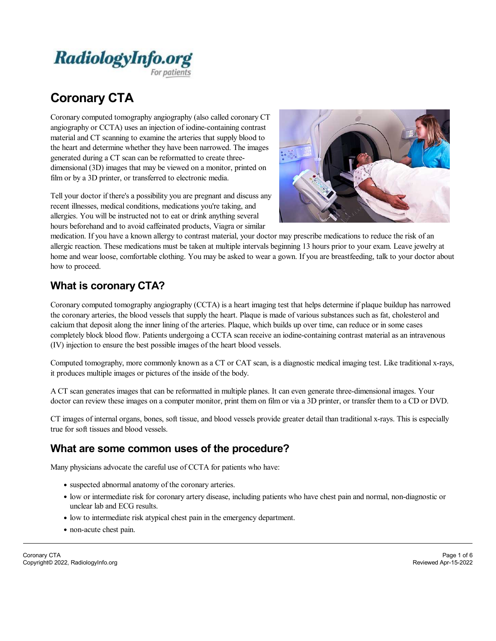

# **Coronary CTA**

Coronary computed tomography angiography (also called coronary CT angiography or CCTA) uses an injection of iodine-containing contrast material and CT scanning to examine the arteries that supply blood to the heart and determine whether they have been narrowed. The images generated during a CT scan can be reformatted to create three dimensional (3D) images that may be viewed on a monitor, printed on film or by a 3D printer, or transferred to electronic media.

Tell your doctor if there's a possibility you are pregnant and discuss any recent illnesses, medical conditions, medications you're taking, and allergies. You will be instructed not to eat or drink anything several hours beforehand and to avoid caffeinated products, Viagra or similar



medication. If you have a known allergy to contrast material, your doctor may prescribe medications to reduce the risk ofan allergic reaction. These medications must be taken atmultiple intervals beginning 13 hours prior to your exam. Leave jewelry at home and wear loose, comfortable clothing. You may be asked to wear a gown. If you are breastfeeding, talk to your doctor about how to proceed.

# **What is coronary CTA?**

Coronary computed tomography angiography (CCTA) is a heart imaging test that helps determine if plaque buildup has narrowed the coronary arteries, the blood vessels that supply the heart. Plaque is made of various substances such as fat, cholesteroland calcium that deposit along the inner lining of the arteries. Plaque, which builds up over time, can reduce or in some cases completely block blood flow. Patients undergoing a CCTA scan receive an iodine-containing contrast material as an intravenous (IV) injection to ensure the best possible images of the heart blood vessels.

Computed tomography, more commonly known as a CT or CAT scan, is a diagnostic medical imaging test. Like traditional x-rays, it produces multiple images or pictures of the inside of the body.

A CT scan generates images that can be reformatted in multiple planes. It can even generate three-dimensional images. Your doctor can review these images on a computer monitor, print them on film or via a 3D printer, or transfer them to a CD or DVD.

CT images of internal organs, bones, soft tissue, and blood vessels provide greater detail than traditional x-rays. This is especially true for soft tissues and blood vessels.

### **What are some common uses of the procedure?**

Many physicians advocate the careful use of CCTA for patients who have:

- suspected abnormalanatomy of the coronary arteries.
- low or intermediate risk for coronary artery disease, including patients who have chest pain and normal, non-diagnostic or unclear lab and ECG results.
- low to intermediate risk atypical chest pain in the emergency department.
- non-acute chest pain.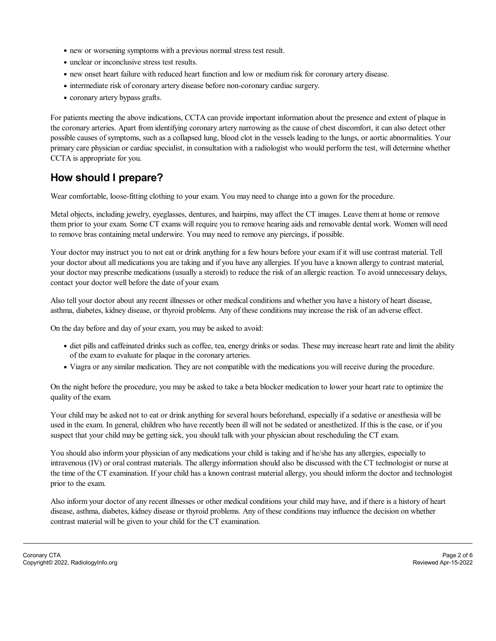- new or worsening symptoms with a previous normal stress test result.
- unclear or inconclusive stress test results.
- new onset heart failure with reduced heart function and low or medium risk for coronary artery disease.
- intermediate risk of coronary artery disease before non-coronary cardiac surgery.
- coronary artery bypass grafts.

For patients meeting the above indications, CCTA can provide important information about the presence and extent of plaque in the coronary arteries. Apart from identifying coronary artery narrowing as the cause ofchest discomfort, it can also detect other possible causes of symptoms, such as a collapsed lung, blood clot in the vessels leading to the lungs, or aortic abnormalities. Your primary care physician or cardiac specialist, in consultation with a radiologist who would perform thetest, will determine whether CCTA is appropriate for you.

# **How should I prepare?**

Wear comfortable, loose-fitting clothing to your exam. You may need to change into a gown for the procedure.

Metal objects, including jewelry, eyeglasses, dentures, and hairpins, may affect the CT images. Leave them at home or remove them prior to your exam. Some CT exams will require you to remove hearing aids and removable dental work. Women will need to remove bras containing metal underwire. You may need to remove any piercings, if possible.

Your doctor may instruct you to not eat or drink anything for a few hours before your exam if it will use contrast material. Tell your doctor about all medications you are taking and if you have any allergies. If you have a known allergy to contrast material, your doctor may prescribe medications (usually a steroid) to reduce the risk of an allergic reaction. To avoid unnecessary delays, contact your doctor well before the date of your exam.

Also tell your doctor about any recent illnesses or other medical conditions and whether you have a history of heart disease, asthma, diabetes, kidney disease, or thyroid problems. Any of these conditions may increase the risk of an adverse effect.

On the day before and day of your exam, you may be asked to avoid:

- diet pills and caffeinated drinks such as coffee, tea, energy drinks or sodas. These may increase heart rate and limit the ability of the exam to evaluate for plaque in the coronary arteries.
- Viagra or any similar medication. They are not compatible with the medications you will receive during the procedure.

On the night before the procedure, you may be asked to take a beta blocker medication to lower your heart rate to optimize the quality of the exam.

Your child may be asked not to eat or drink anything for several hours beforehand, especially if a sedative or anesthesia will be used in the exam. In general, children who have recently been ill will not be sedated or anesthetized. If this is the case, or if you suspect that your child may be getting sick, you should talk with your physician about rescheduling the CT exam.

You should also inform your physician of any medications your child is taking and if he/she has any allergies, especially to intravenous (IV) or oralcontrast materials. The allergy information should also be discussed with the CT technologist or nurse at the time of the CT examination. If your child has a known contrast material allergy, you should inform the doctor and technologist prior to the exam.

Also inform your doctor of any recent illnesses or other medical conditions your child may have, and if there is a history of heart disease, asthma, diabetes, kidney disease or thyroid problems. Any of these conditions may influence the decision on whether contrast material will be given to your child for the CT examination.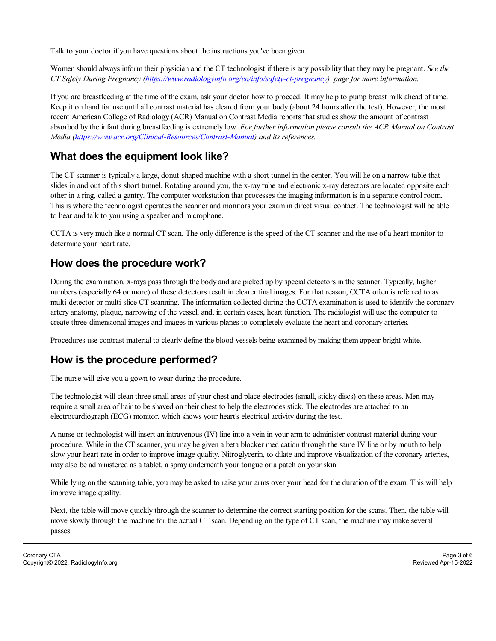Talk to your doctor if you have questions about the instructions you've been given.

Women should always inform their physician and the CT technologist if there is any possibility that they may be pregnant. *See the CT Safety During Pregnancy ([https://www.radiologyinfo.org/en/info/safety-ct-pregnancy\)](https://www.radiologyinfo.org/en/info/safety-ct-pregnancy) page for more information.*

If you are breastfeeding at the time of the exam, ask your doctor how to proceed. It may help to pump breast milk ahead of time. Keep it on hand for use until all contrast material has cleared from your body (about 24 hours after the test). However, the most recent American College of Radiology (ACR) Manual on Contrast Media reports that studies show the amount of contrast absorbed by the infant during breastfeeding is extremely low. *For further information please consult the ACR Manual on Contrast Media [\(https://www.acr.org/Clinical-Resources/Contrast-Manual\)](https://www.acr.org/Clinical-Resources/Contrast-Manual) and its references.*

# **What does the equipment look like?**

The CT scanner is typically a large, donut-shaped machine with a short tunnel in the center. You will lie on a narrow table that slides in and out of this short tunnel. Rotating around you, the x-ray tube and electronic x-ray detectors are located opposite each other in a ring, called a gantry. The computer workstation that processes the imaging information is in a separate control room. This is where the technologist operates the scanner and monitors your exam in direct visualcontact. The technologist will be able to hear and talk to you using a speaker and microphone.

CCTA is very much like a normal CT scan. The only difference is the speed of the CT scanner and the use of a heart monitor to determine your heart rate.

# **How does the procedure work?**

During the examination, x-rays pass through the body and are picked up by special detectors in the scanner. Typically, higher numbers (especially 64 or more) of these detectors result in clearer final images. For that reason, CCTA often is referred to as multi-detector or multi-slice CT scanning. The information collected during the CCTA examination is used to identify the coronary artery anatomy, plaque, narrowing of the vessel, and, in certain cases, heart function. The radiologist will use the computer to create three-dimensional images and images in various planes to completely evaluate the heart and coronary arteries.

Procedures use contrast material to clearly define the blood vessels being examined by making them appear bright white.

# **How is the procedure performed?**

The nurse will give you a gown to wear during the procedure.

The technologist will clean three small areas of your chest and place electrodes (small, sticky discs) on these areas. Men may require a smallarea of hair to be shaved on their chest to help the electrodes stick. The electrodes are attached to an electrocardiograph (ECG) monitor, which shows your heart's electricalactivity during the test.

A nurse or technologist will insert an intravenous (IV) line into a vein in your arm to administer contrast material during your procedure. While in the CT scanner, you may be given a beta blocker medication through the same IV line or by mouth to help slow your heart rate in order to improve image quality. Nitroglycerin, to dilate and improve visualization of the coronary arteries, may also be administered as a tablet, a spray underneath your tongue or a patch on your skin.

While lying on the scanning table, you may be asked to raise your arms over your head for the duration of the exam. This will help improve image quality.

Next, the table will move quickly through the scanner to determine the correct starting position for the scans. Then, the table will move slowly through the machine for the actual CT scan. Depending on the type of CT scan, the machine may make several passes.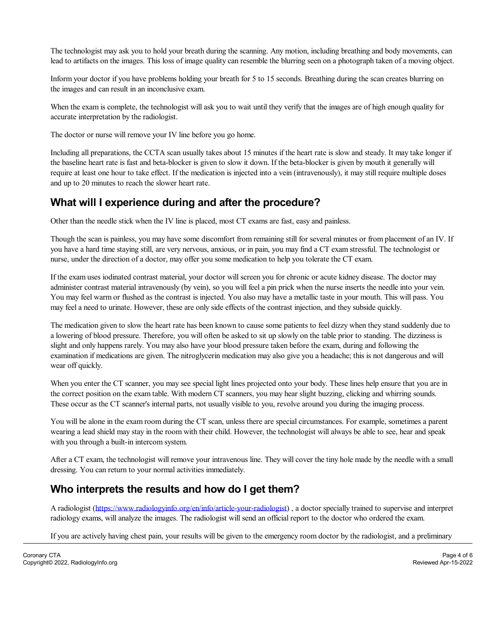The technologist may ask you to hold your breath during the scanning. Any motion, including breathing and body movements, can lead to artifacts on the images. This loss of image quality can resemble the blurring seen on a photograph taken of a moving object.

Inform your doctor if you have problems holding your breath for 5 to 15 seconds. Breathing during the scan creates blurring on the images and can result in an inconclusive exam.

When the exam is complete, the technologist will ask you to wait until they verify that the images are of high enough quality for accurate interpretation by the radiologist.

The doctor or nurse will remove your IV line before you go home.

Including all preparations, the CCTA scan usually takes about 15 minutes if the heart rate is slow and steady. It may take longer if the baseline heart rate is fast and beta-blocker is given to slow it down. If the beta-blocker is given by mouth it generally will require at least one hour to take effect. If the medication is injected into a vein (intravenously), it may still require multiple doses and up to 20 minutes to reach the slower heart rate.

### **What will I experience during and after the procedure?**

Other than the needle stick when the IV line is placed, most CT exams are fast, easy and painless.

Though the scan is painless, you may have some discomfort from remaining still for several minutes or from placement of an IV. If you have a hard time staying still, are very nervous, anxious, or in pain, you may find a CT exam stressful. The technologist or nurse, under the direction of a doctor, may offer you some medication to help you tolerate the CT exam.

If the exam uses iodinated contrast material, your doctor will screen you for chronic or acute kidney disease. The doctor may administer contrast material intravenously (by vein), so you will feela pin prick when the nurse inserts the needle into your vein. You may feel warm or flushed as the contrast is injected. You also may have a metallic taste in your mouth. This will pass. You may feela need to urinate. However, these are only side effects of the contrast injection, and they subside quickly.

The medication given to slow the heart rate has been known to cause some patients to feel dizzy when they stand suddenly due to a lowering of blood pressure. Therefore, you will often be asked to sit up slowly on the table prior to standing. The dizziness is slight and only happens rarely. You may also have your blood pressure taken before the exam, during and following the examination if medications are given. The nitroglycerin medication may also give you a headache; this is not dangerous and will wear off quickly.

When you enter the CT scanner, you may see special light lines projected onto your body. These lines help ensure that you are in the correct position on the exam table. With modern CT scanners, you may hear slight buzzing, clicking and whirring sounds. These occur as the CT scanner's internal parts, not usually visible to you, revolve around you during the imaging process.

You will be alone in the exam room during the CT scan, unless there are special circumstances. For example, sometimes a parent wearing a lead shield may stay in the room with their child. However, the technologist willalways be able to see, hear and speak with you through a built-in intercom system.

After a CT exam, the technologist will remove your intravenous line. They will cover the tiny hole made by the needle with a small dressing. You can return to your normal activities immediately.

# **Who interprets the results and how do I get them?**

A radiologist (<https://www.radiologyinfo.org/en/info/article-your-radiologist>) , a doctor specially trained to supervise and interpret radiology exams, willanalyze the images. The radiologist will send an official report to the doctor who ordered the exam.

If you are actively having chest pain, your results will be given to the emergency room doctor by the radiologist, and a preliminary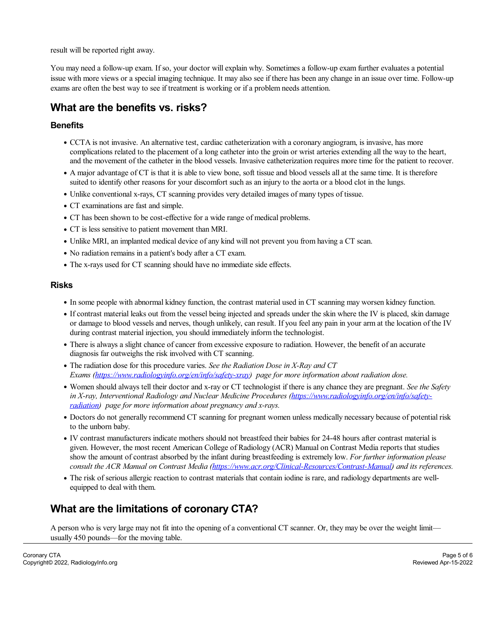result will be reported right away.

You may need a follow-up exam. If so, your doctor willexplain why. Sometimes a follow-up exam further evaluates a potential issue with more views or a special imaging technique. It may also see if there has been any change in an issue over time. Follow-up exams are often the best way to see if treatment is working or if a problem needs attention.

## **What are the benefits vs. risks?**

#### **Benefits**

- CCTA is not invasive. An alternative test, cardiac catheterization with a coronary angiogram, is invasive, has more complications related to the placement ofa long catheter into the groin or wrist arteries extending all the way to the heart, and the movement of the catheter in the blood vessels. Invasive catheterization requires more time for the patient to recover.
- A major advantage of CT is that it is able to view bone, soft tissue and blood vessels allat the same time. It is therefore suited to identify other reasons for your discomfort such as an injury to the aorta or a blood clot in the lungs.
- Unlike conventional x-rays, CT scanning provides very detailed images of many types of tissue.
- CT examinations are fast and simple.
- CT has been shown to be cost-effective for a wide range of medical problems.
- CT is less sensitive to patient movement than MRI.
- Unlike MRI, an implanted medical device of any kind will not prevent you from having a CT scan.
- No radiation remains in a patient's body after a CT exam.
- The x-rays used for CT scanning should have no immediate side effects.

#### **Risks**

- In some people with abnormal kidney function, the contrast material used in CT scanning may worsen kidney function.
- If contrast material leaks out from the vessel being injected and spreads under the skin where the IV is placed, skin damage or damage to blood vessels and nerves, though unlikely, can result. If you feelany pain in your arm at the location of the IV during contrast material injection, you should immediately inform the technologist.
- There is always a slight chance of cancer from excessive exposure to radiation. However, the benefit of an accurate diagnosis far outweighs the risk involved with CT scanning.
- The radiation dose for this procedure varies. *See the Radiation Dose in X-Ray and CT Exams [\(https://www.radiologyinfo.org/en/info/safety-xray](https://www.radiologyinfo.org/en/info/safety-xray)) page for more information about radiation dose.*
- Women should always tell their doctor and x-ray or CT technologist if there is any chance they are pregnant. *See the Safety in X-ray, Interventional Radiology and Nuclear Medicine Procedures [\(https://www.radiologyinfo.org/en/info/safety](https://www.radiologyinfo.org/en/info/safety-radiation) radiation) page for more information about pregnancy and x-rays.*
- Doctors do not generally recommend CT scanning for pregnant women unless medically necessary because of potential risk to the unborn baby.
- IV contrast manufacturers indicate mothers should not breastfeed their babies for 24-48 hours after contrast material is given. However, the most recent American College of Radiology (ACR) Manual on Contrast Media reports that studies show the amount of contrast absorbed by the infant during breastfeeding is extremely low. *For further information please consult the ACR Manual on Contrast Media [\(https://www.acr.org/Clinical-Resources/Contrast-Manual](https://www.acr.org/Clinical-Resources/Contrast-Manual)) and its references.*
- The risk of serious allergic reaction to contrast materials that contain iodine is rare, and radiology departments are well equipped to deal with them.

### **What are the limitations of coronary CTA?**

A person who is very large may not fit into the opening ofa conventional CT scanner. Or, they may be over the weight limit usually 450 pounds—for the moving table.